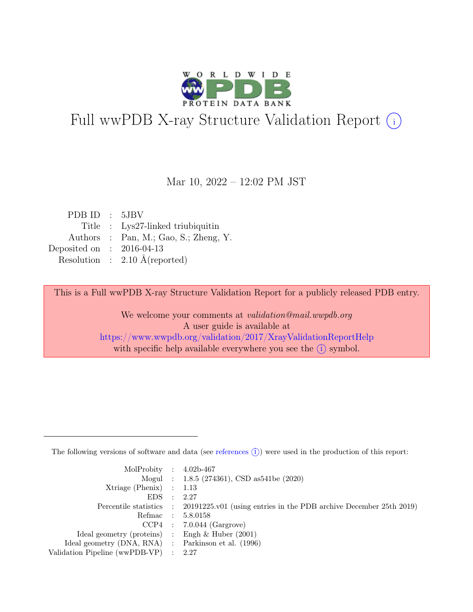

# Full wwPDB X-ray Structure Validation Report  $(i)$

Mar 10, 2022 – 12:02 PM JST

| PDBID : 5JBV                             |
|------------------------------------------|
| Title : Lys27-linked triubiquitin        |
| Authors : Pan, M.; Gao, S.; Zheng, Y.    |
| Deposited on : $2016-04-13$              |
| Resolution : $2.10 \text{ Å}$ (reported) |
|                                          |

This is a Full wwPDB X-ray Structure Validation Report for a publicly released PDB entry.

We welcome your comments at validation@mail.wwpdb.org A user guide is available at <https://www.wwpdb.org/validation/2017/XrayValidationReportHelp> with specific help available everywhere you see the  $(i)$  symbol.

The following versions of software and data (see [references](https://www.wwpdb.org/validation/2017/XrayValidationReportHelp#references)  $(i)$ ) were used in the production of this report:

| MolProbity : $4.02b-467$                            |           |                                                                                            |
|-----------------------------------------------------|-----------|--------------------------------------------------------------------------------------------|
|                                                     |           | Mogul : 1.8.5 (274361), CSD as 541be (2020)                                                |
| $Xtriangle (Phenix)$ : 1.13                         |           |                                                                                            |
| EDS                                                 | $\cdot$ . | -2.27                                                                                      |
|                                                     |           | Percentile statistics : 20191225.v01 (using entries in the PDB archive December 25th 2019) |
|                                                     |           | Refmac : 5.8.0158                                                                          |
|                                                     |           | $CCP4$ : 7.0.044 (Gargrove)                                                                |
| Ideal geometry (proteins) : Engh $\&$ Huber (2001)  |           |                                                                                            |
| Ideal geometry (DNA, RNA) : Parkinson et al. (1996) |           |                                                                                            |
| Validation Pipeline (wwPDB-VP) : $2.27$             |           |                                                                                            |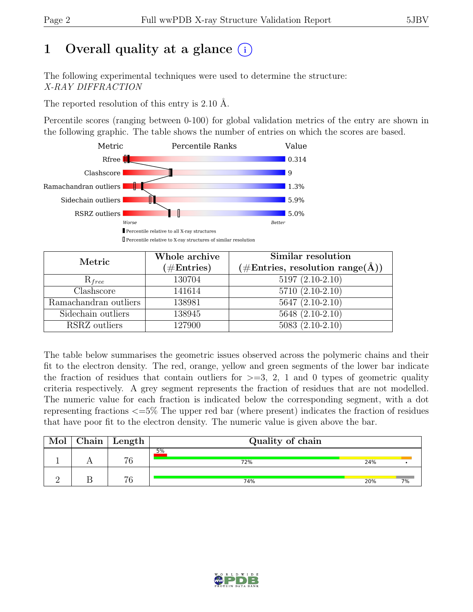# 1 Overall quality at a glance  $(i)$

The following experimental techniques were used to determine the structure: X-RAY DIFFRACTION

The reported resolution of this entry is 2.10 Å.

Percentile scores (ranging between 0-100) for global validation metrics of the entry are shown in the following graphic. The table shows the number of entries on which the scores are based.



| Metric                | Whole archive<br>$(\#Entries)$ | Similar resolution<br>$(\# \text{Entries}, \text{ resolution range}(\AA))$ |  |  |
|-----------------------|--------------------------------|----------------------------------------------------------------------------|--|--|
| $R_{free}$            | 130704                         | $5197(2.10-2.10)$                                                          |  |  |
| Clashscore            | 141614                         | $5710(2.10-2.10)$                                                          |  |  |
| Ramachandran outliers | 138981                         | $5647(2.10-2.10)$                                                          |  |  |
| Sidechain outliers    | 138945                         | 5648 (2.10-2.10)                                                           |  |  |
| RSRZ outliers         | 127900                         | $5083(2.10-2.10)$                                                          |  |  |

The table below summarises the geometric issues observed across the polymeric chains and their fit to the electron density. The red, orange, yellow and green segments of the lower bar indicate the fraction of residues that contain outliers for  $>=$  3, 2, 1 and 0 types of geometric quality criteria respectively. A grey segment represents the fraction of residues that are not modelled. The numeric value for each fraction is indicated below the corresponding segment, with a dot representing fractions <=5% The upper red bar (where present) indicates the fraction of residues that have poor fit to the electron density. The numeric value is given above the bar.

| Mol | ${\rm Chain \mid Length}$ | Quality of chain |     |    |  |  |
|-----|---------------------------|------------------|-----|----|--|--|
|     | 76                        | 5%<br>72%        | 24% |    |  |  |
|     | 76                        | 74%              | 20% | 7% |  |  |

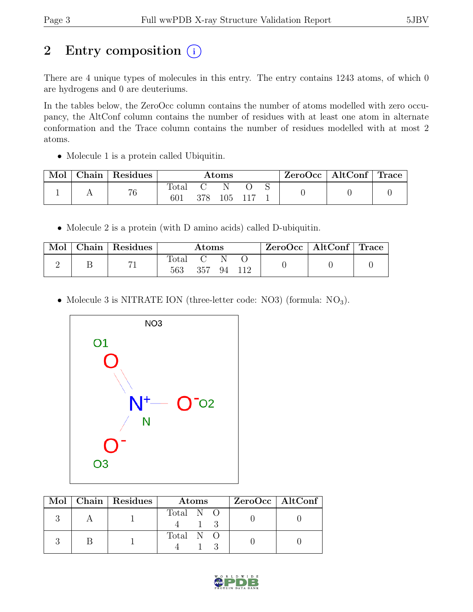# 2 Entry composition  $(i)$

There are 4 unique types of molecules in this entry. The entry contains 1243 atoms, of which 0 are hydrogens and 0 are deuteriums.

In the tables below, the ZeroOcc column contains the number of atoms modelled with zero occupancy, the AltConf column contains the number of residues with at least one atom in alternate conformation and the Trace column contains the number of residues modelled with at most 2 atoms.

• Molecule 1 is a protein called Ubiquitin.

| Mol | Chain | <sup>'</sup> Residues | $\rm{Atoms}$ |     |     |  |  | $ZeroOcc \mid AltConf \mid Trace$ |  |
|-----|-------|-----------------------|--------------|-----|-----|--|--|-----------------------------------|--|
|     |       | 76                    | 'otai<br>601 | 378 | .05 |  |  |                                   |  |

• Molecule 2 is a protein (with D amino acids) called D-ubiquitin.

| Mol | $\mid$ Chain $\mid$ Residues | Atoms        |     |  | $\text{ZeroOcc}$   AltConf   Trace |  |  |
|-----|------------------------------|--------------|-----|--|------------------------------------|--|--|
|     |                              | fotal<br>563 | 357 |  | 94 112                             |  |  |

• Molecule 3 is NITRATE ION (three-letter code: NO3) (formula: NO<sub>3</sub>).



|  | Mol   Chain   Residues | <b>Atoms</b> | ZeroOcc   AltConf |
|--|------------------------|--------------|-------------------|
|  |                        | Total N O    |                   |
|  |                        | Total N O    |                   |

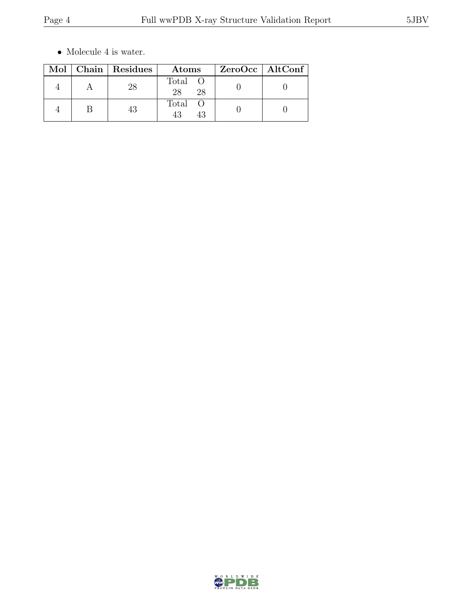$\bullet\,$  Molecule 4 is water.

|  | Mol   Chain   Residues | Atoms             | $ZeroOcc$   AltConf |  |
|--|------------------------|-------------------|---------------------|--|
|  | 28                     | Total<br>28<br>28 |                     |  |
|  |                        | Total<br>43<br>43 |                     |  |

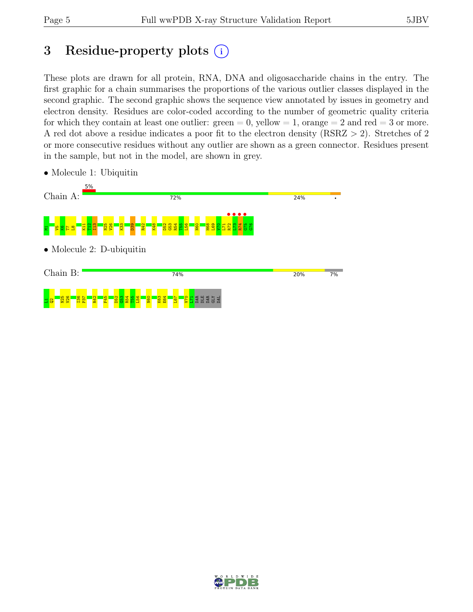# 3 Residue-property plots  $(i)$

These plots are drawn for all protein, RNA, DNA and oligosaccharide chains in the entry. The first graphic for a chain summarises the proportions of the various outlier classes displayed in the second graphic. The second graphic shows the sequence view annotated by issues in geometry and electron density. Residues are color-coded according to the number of geometric quality criteria for which they contain at least one outlier:  $green = 0$ , yellow  $= 1$ , orange  $= 2$  and red  $= 3$  or more. A red dot above a residue indicates a poor fit to the electron density (RSRZ > 2). Stretches of 2 or more consecutive residues without any outlier are shown as a green connector. Residues present in the sample, but not in the model, are shown in grey.



• Molecule 1: Ubiquitin

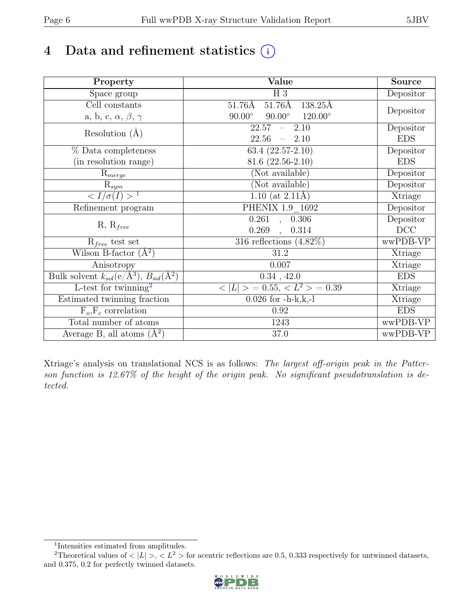# 4 Data and refinement statistics  $(i)$

| Property                                                             | Value                                              | Source     |
|----------------------------------------------------------------------|----------------------------------------------------|------------|
| Space group                                                          | $H_3$                                              | Depositor  |
| Cell constants                                                       | $51.76\text{\AA}$<br>$51.76\text{\AA}$<br>138.25Å  |            |
| a, b, c, $\alpha$ , $\beta$ , $\gamma$                               | $90.00^\circ$<br>$120.00^{\circ}$<br>$90.00^\circ$ | Depositor  |
| Resolution $(A)$                                                     | 22.57<br>$-2.10$                                   | Depositor  |
|                                                                      | 22.56<br>$-2.10$                                   | <b>EDS</b> |
| % Data completeness                                                  | $63.4(22.57-2.10)$                                 | Depositor  |
| (in resolution range)                                                | $81.6(22.56-2.10)$                                 | <b>EDS</b> |
| $\mathrm{R}_{merge}$                                                 | (Not available)                                    | Depositor  |
| $\mathrm{R}_{sym}$                                                   | (Not available)                                    | Depositor  |
| $\langle I/\sigma(I) \rangle$ <sup>1</sup>                           | 1.10 (at $2.11\text{\AA}$ )                        | Xtriage    |
| Refinement program                                                   | PHENIX 1.9 1692                                    | Depositor  |
|                                                                      | $\overline{0.261}$ ,<br>0.306                      | Depositor  |
| $R, R_{free}$                                                        | 0.269<br>0.314<br>$\overline{\phantom{a}}$         | DCC        |
| $R_{free}$ test set                                                  | 316 reflections $(4.82\%)$                         | wwPDB-VP   |
| Wilson B-factor $(A^2)$                                              | 31.2                                               | Xtriage    |
| Anisotropy                                                           | 0.007                                              | Xtriage    |
| Bulk solvent $k_{sol}(e/\mathring{A}^3)$ , $B_{sol}(\mathring{A}^2)$ | 0.34, 42.0                                         | <b>EDS</b> |
| $\overline{\text{L-test}}$ for twinning <sup>2</sup>                 | $< L >$ = 0.55, $< L^2 >$ = 0.39                   | Xtriage    |
| Estimated twinning fraction                                          | $0.026$ for $-h-k,k,-l$                            | Xtriage    |
| $F_o, F_c$ correlation                                               | 0.92                                               | <b>EDS</b> |
| Total number of atoms                                                | 1243                                               | wwPDB-VP   |
| Average B, all atoms $(A^2)$                                         | 37.0                                               | wwPDB-VP   |

Xtriage's analysis on translational NCS is as follows: The largest off-origin peak in the Patterson function is 12.67% of the height of the origin peak. No significant pseudotranslation is detected.

<sup>&</sup>lt;sup>2</sup>Theoretical values of  $\langle |L| \rangle$ ,  $\langle L^2 \rangle$  for acentric reflections are 0.5, 0.333 respectively for untwinned datasets, and 0.375, 0.2 for perfectly twinned datasets.



<span id="page-5-1"></span><span id="page-5-0"></span><sup>1</sup> Intensities estimated from amplitudes.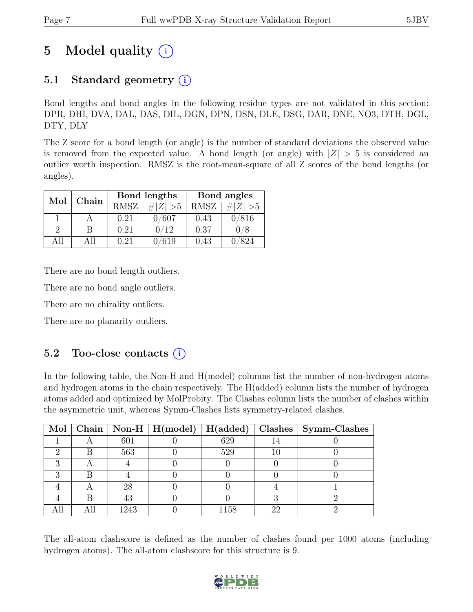# 5 Model quality  $(i)$

## 5.1 Standard geometry (i)

Bond lengths and bond angles in the following residue types are not validated in this section: DPR, DHI, DVA, DAL, DAS, DIL, DGN, DPN, DSN, DLE, DSG, DAR, DNE, NO3, DTH, DGL, DTY, DLY

The Z score for a bond length (or angle) is the number of standard deviations the observed value is removed from the expected value. A bond length (or angle) with  $|Z| > 5$  is considered an outlier worth inspection. RMSZ is the root-mean-square of all Z scores of the bond lengths (or angles).

| Mol      | Chain |             | Bond lengths | Bond angles |             |  |
|----------|-------|-------------|--------------|-------------|-------------|--|
|          |       | <b>RMSZ</b> | # $ Z  > 5$  | <b>RMSZ</b> | # $ Z  > 5$ |  |
|          |       | 0.21        | 0/607        | 0.43        | 0/816       |  |
| $\Omega$ | В     | 0.21        | 0/12         | 0.37        | 0/8         |  |
| All      | All   | 0.21        | 619          | 0.43        | 824         |  |

There are no bond length outliers.

There are no bond angle outliers.

There are no chirality outliers.

There are no planarity outliers.

#### 5.2 Too-close contacts  $(i)$

In the following table, the Non-H and H(model) columns list the number of non-hydrogen atoms and hydrogen atoms in the chain respectively. The H(added) column lists the number of hydrogen atoms added and optimized by MolProbity. The Clashes column lists the number of clashes within the asymmetric unit, whereas Symm-Clashes lists symmetry-related clashes.

|   |      | Mol   Chain   Non-H   H(model)   H(added) |      |    | $\Box$ Clashes $\Box$ Symm-Clashes |
|---|------|-------------------------------------------|------|----|------------------------------------|
|   | 601  |                                           | 629  |    |                                    |
|   | 563  |                                           | 529  |    |                                    |
|   |      |                                           |      |    |                                    |
| റ |      |                                           |      |    |                                    |
|   | 28   |                                           |      |    |                                    |
|   | 43   |                                           |      |    |                                    |
|   | 1243 |                                           | 1158 | 22 |                                    |

The all-atom clashscore is defined as the number of clashes found per 1000 atoms (including hydrogen atoms). The all-atom clashscore for this structure is 9.

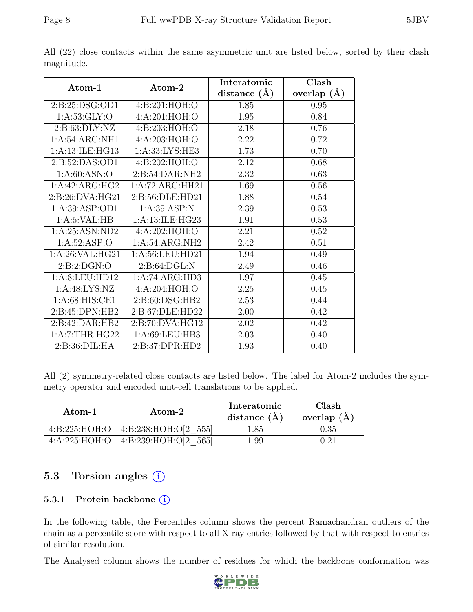|                    |                  | Interatomic      | Clash         |
|--------------------|------------------|------------------|---------------|
| Atom-1             | Atom-2           | distance $(\AA)$ | overlap $(A)$ |
| 2:B:25:DSG:OD1     | 4:B:201:HOH:O    | 1.85             | 0.95          |
| 1: A:53: GLY:O     | 4:A:201:HOH:O    | 1.95             | 0.84          |
| 2: B: 63: DLY: NZ  | 4:B:203:HOH:O    | 2.18             | 0.76          |
| 1: A:54: ARG:NH1   | 4:A:203:HOH:O    | 2.22             | 0.72          |
| 1: A:13: ILE: HG13 | 1:A:33:LYS:HE3   | 1.73             | 0.70          |
| 2:B:52:DAS:OD1     | 4:B:202:HOH:O    | 2.12             | 0.68          |
| 1: A:60: ASN:O     | 2: B:54: DAR:NH2 | 2.32             | 0.63          |
| 1:A:42:ARG:HG2     | 1:A:72:ARG:HH21  | 1.69             | 0.56          |
| 2:B:26:DVA:HG21    | 2:B:56:DLE:HD21  | 1.88             | 0.54          |
| 1: A:39: ASP:OD1   | 1: A:39: ASP:N   | 2.39             | 0.53          |
| 1: A:5: VAL: HB    | 1:A:13:ILE:HG23  | 1.91             | 0.53          |
| 1: A:25: ASN:ND2   | 4:A:202:HOH:O    | 2.21             | 0.52          |
| 1:A:52:ASP:O       | 1:A:54:ARG:NH2   | 2.42             | 0.51          |
| 1: A:26: VAL:HG21  | 1:A:56:LEU:HD21  | 1.94             | 0.49          |
| 2: B:2: DGN:O      | 2: B:64: DGL:N   | 2.49             | 0.46          |
| 1:A:8:LEU:HD12     | 1:A:74:ARG:HD3   | 1.97             | 0.45          |
| 1: A:48: LYS: NZ   | 4:A:204:HOH:O    | 2.25             | 0.45          |
| 1: A:68: HIS:CE1   | 2: B:60: DSG:HB2 | 2.53             | 0.44          |
| 2:B:45:DPN:HB2     | 2:B:67:DLE:HD22  | 2.00             | 0.42          |
| 2:B:42:DAR:HB2     | 2:B:70:DVA:HG12  | 2.02             | 0.42          |
| 1:A:7:THR:HG22     | 1:A:69:LEU:HB3   | 2.03             | 0.40          |
| 2:B:36:DIL:HA      | 2:B:37:DPR:HD2   | 1.93             | 0.40          |

All (22) close contacts within the same asymmetric unit are listed below, sorted by their clash magnitude.

All (2) symmetry-related close contacts are listed below. The label for Atom-2 includes the symmetry operator and encoded unit-cell translations to be applied.

| Atom-1        | Atom-2                          | Interatomic<br>distance $(A)$ | Clash<br>overlap $(A)$ |
|---------------|---------------------------------|-------------------------------|------------------------|
| 4:B:225:HOH:O | 4:B:238:HOH:O[2 555]            | .85                           |                        |
| 4:A:225:HOH:O | $\perp$ 4:B:239:HOH:O[2<br>5651 | $1.99\,$                      | ገ 91                   |

## 5.3 Torsion angles (i)

#### 5.3.1 Protein backbone (i)

In the following table, the Percentiles column shows the percent Ramachandran outliers of the chain as a percentile score with respect to all X-ray entries followed by that with respect to entries of similar resolution.

The Analysed column shows the number of residues for which the backbone conformation was

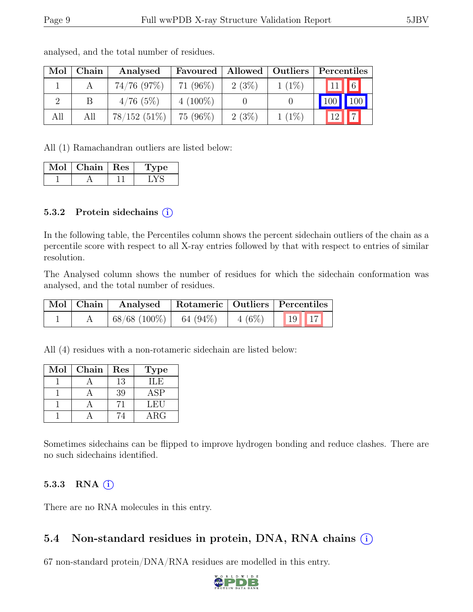| Mol | Chain | Analysed       | Favoured    | Allowed   Outliers |          | Percentiles                    |
|-----|-------|----------------|-------------|--------------------|----------|--------------------------------|
|     |       | $74/76$ (97\%) | 71 $(96\%)$ | 2(3%)              | $1(1\%)$ | $\boxed{6}$<br>$\overline{11}$ |
|     |       | 4/76(5%)       | $4(100\%)$  |                    |          | 100                            |
| All | All   | $78/152(51\%)$ | 75 (96%)    | 2(3%)              | $1(1\%)$ | $\overline{z}$<br>12           |

analysed, and the total number of residues.

All (1) Ramachandran outliers are listed below:

| Mol | Chain $\vert$ Res | <b>Type</b> |
|-----|-------------------|-------------|
|     |                   |             |

#### 5.3.2 Protein sidechains (i)

In the following table, the Percentiles column shows the percent sidechain outliers of the chain as a percentile score with respect to all X-ray entries followed by that with respect to entries of similar resolution.

The Analysed column shows the number of residues for which the sidechain conformation was analysed, and the total number of residues.

| $\mid$ Mol $\mid$ Chain $\mid$ | Analysed   Rotameric   Outliers   Percentiles          |  |  |  |
|--------------------------------|--------------------------------------------------------|--|--|--|
|                                | $\mid 68/68 \ (100\%) \mid 64 \ (94\%) \mid 4 \ (6\%)$ |  |  |  |

All (4) residues with a non-rotameric sidechain are listed below:

| Mol | Chain | Res | <b>Type</b> |
|-----|-------|-----|-------------|
|     |       | 13  | ILE         |
|     |       | 39  | <b>ASP</b>  |
|     |       |     | LEU         |
|     |       |     | $\rm{ARG}$  |

Sometimes sidechains can be flipped to improve hydrogen bonding and reduce clashes. There are no such sidechains identified.

#### 5.3.3 RNA  $(i)$

There are no RNA molecules in this entry.

## 5.4 Non-standard residues in protein, DNA, RNA chains  $(i)$

67 non-standard protein/DNA/RNA residues are modelled in this entry.

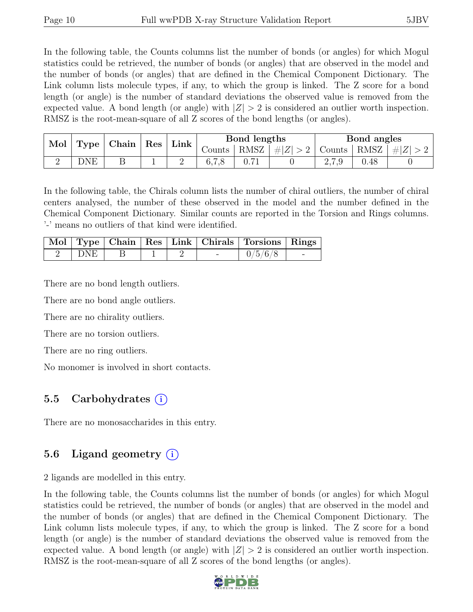In the following table, the Counts columns list the number of bonds (or angles) for which Mogul statistics could be retrieved, the number of bonds (or angles) that are observed in the model and the number of bonds (or angles) that are defined in the Chemical Component Dictionary. The Link column lists molecule types, if any, to which the group is linked. The Z score for a bond length (or angle) is the number of standard deviations the observed value is removed from the expected value. A bond length (or angle) with  $|Z| > 2$  is considered an outlier worth inspection. RMSZ is the root-mean-square of all Z scores of the bond lengths (or angles).

| Mol<br>Type | Chain | $\mathop{\mathrm{Res}}$ | ${\rm Link}$ |        | Bond lengths |             |        | Bond angles          |         |  |
|-------------|-------|-------------------------|--------------|--------|--------------|-------------|--------|----------------------|---------|--|
|             |       |                         |              | Counts | RMSZ         | $\# Z  > 2$ | Counts | $\perp$ RMSZ $\perp$ | $\# Z $ |  |
|             | 'DNE  | ப                       |              | ∸      | 6.7.8        | 0.71        |        | $\mathcal{L}$ , 1, 9 | 0.48    |  |

In the following table, the Chirals column lists the number of chiral outliers, the number of chiral centers analysed, the number of these observed in the model and the number defined in the Chemical Component Dictionary. Similar counts are reported in the Torsion and Rings columns. '-' means no outliers of that kind were identified.

|       |  |  | Mol   Type   Chain   Res   Link   Chirals   Torsions   Rings |  |
|-------|--|--|--------------------------------------------------------------|--|
| DNE 1 |  |  | $1\frac{0}{5}{6/8}$                                          |  |

There are no bond length outliers.

There are no bond angle outliers.

There are no chirality outliers.

There are no torsion outliers.

There are no ring outliers.

No monomer is involved in short contacts.

## 5.5 Carbohydrates  $(i)$

There are no monosaccharides in this entry.

#### 5.6 Ligand geometry (i)

2 ligands are modelled in this entry.

In the following table, the Counts columns list the number of bonds (or angles) for which Mogul statistics could be retrieved, the number of bonds (or angles) that are observed in the model and the number of bonds (or angles) that are defined in the Chemical Component Dictionary. The Link column lists molecule types, if any, to which the group is linked. The Z score for a bond length (or angle) is the number of standard deviations the observed value is removed from the expected value. A bond length (or angle) with  $|Z| > 2$  is considered an outlier worth inspection. RMSZ is the root-mean-square of all Z scores of the bond lengths (or angles).

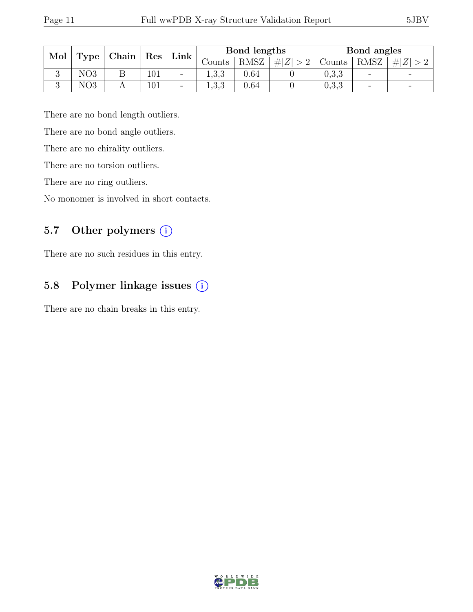| Mol | Type            |  |     |                          |                          |      |                  |        |                              |                          | Res<br>$\mid$ Chain |  | $Link \mid$ |  | Bond lengths |  |  | Bond angles |  |  |
|-----|-----------------|--|-----|--------------------------|--------------------------|------|------------------|--------|------------------------------|--------------------------|---------------------|--|-------------|--|--------------|--|--|-------------|--|--|
|     |                 |  |     |                          | <b>Counts</b>            | RMSZ | H Z <br>$\sim$ 0 | Counts | <b>RMSZ</b>                  | Z <br>#                  |                     |  |             |  |              |  |  |             |  |  |
|     | NO <sub>3</sub> |  | 101 | $\overline{\phantom{a}}$ | ാ ാ<br>1, 0, 0           | 0.64 |                  | 0,3,3  | $\qquad \qquad \blacksquare$ |                          |                     |  |             |  |              |  |  |             |  |  |
|     | NO3             |  | 101 | $\overline{\phantom{a}}$ | $\mathcal{Q}$<br>1, 0, 0 | 0.64 |                  | 0,3,3  | $\overline{\phantom{a}}$     | $\overline{\phantom{0}}$ |                     |  |             |  |              |  |  |             |  |  |

There are no bond length outliers.

There are no bond angle outliers.

There are no chirality outliers.

There are no torsion outliers.

There are no ring outliers.

No monomer is involved in short contacts.

## 5.7 Other polymers (i)

There are no such residues in this entry.

## 5.8 Polymer linkage issues (i)

There are no chain breaks in this entry.

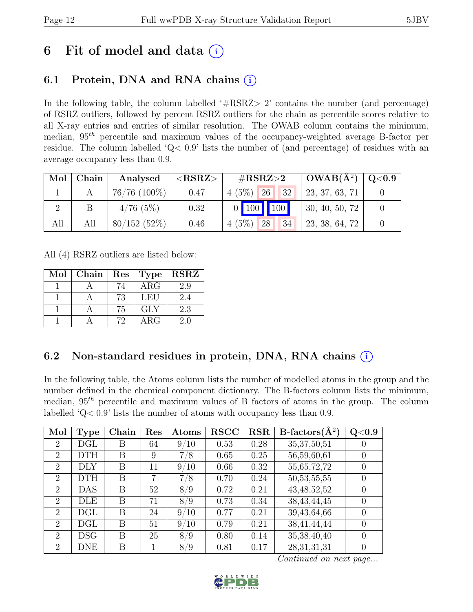# 6 Fit of model and data  $(i)$

## 6.1 Protein, DNA and RNA chains (i)

In the following table, the column labelled  $#RSRZ>2$  contains the number (and percentage) of RSRZ outliers, followed by percent RSRZ outliers for the chain as percentile scores relative to all X-ray entries and entries of similar resolution. The OWAB column contains the minimum, median,  $95<sup>th</sup>$  percentile and maximum values of the occupancy-weighted average B-factor per residue. The column labelled 'Q< 0.9' lists the number of (and percentage) of residues with an average occupancy less than 0.9.

|     | Mol   Chain | Analysed          | $<$ RSRZ $>$ | $\#\text{RSRZ}\text{>2}$ | $\mid$ OWAB(Å <sup>2</sup> ) $\mid$ Q<0.9 $\mid$ |  |
|-----|-------------|-------------------|--------------|--------------------------|--------------------------------------------------|--|
|     |             | $76/76$ $(100\%)$ | 0.47         | $4(5\%)$ 26 32           | 23, 37, 63, 71                                   |  |
|     |             | $4/76$ (5%)       | 0.32         | $0$ 100 100              | 1, 30, 40, 50, 72                                |  |
| All | All         | 80/152(52%)       | 0.46         | $4(5\%)$ 28<br>34        | 23, 38, 64, 72                                   |  |

All (4) RSRZ outliers are listed below:

| Mol | Chain | $\operatorname{Res}$ | <b>Type</b>             | <b>RSRZ</b> |
|-----|-------|----------------------|-------------------------|-------------|
|     |       | 74                   | $\overline{\text{ARG}}$ | 2.9         |
|     |       | 73                   | LEU                     | 2.4         |
|     |       | 75                   | <b>GLY</b>              | 2.3         |
|     |       | 72                   | $\rm{ARG}$              | 2.0         |

## 6.2 Non-standard residues in protein, DNA, RNA chains (i)

In the following table, the Atoms column lists the number of modelled atoms in the group and the number defined in the chemical component dictionary. The B-factors column lists the minimum, median,  $95<sup>th</sup>$  percentile and maximum values of B factors of atoms in the group. The column labelled 'Q< 0.9' lists the number of atoms with occupancy less than 0.9.

| Mol            | <b>Type</b> | Chain | Res | Atoms   | <b>RSCC</b> | RSR  | $B\text{-}factors(\AA^2)$ | Q <sub>0.9</sub> |
|----------------|-------------|-------|-----|---------|-------------|------|---------------------------|------------------|
| 2              | DGL         | Β     | 64  | 9/10    | 0.53        | 0.28 | 35, 37, 50, 51            |                  |
| $\overline{2}$ | DTH         | B     | 9   | 7/8     | 0.65        | 0.25 | 56,59,60,61               | $\left( \right)$ |
| $\overline{2}$ | DLY         | В     | 11  | 9/10    | 0.66        | 0.32 | 55, 65, 72, 72            | $\left( \right)$ |
| $\overline{2}$ | DTH         | В     | 7   | 7/8     | 0.70        | 0.24 | 50, 53, 55, 55            |                  |
| $\overline{2}$ | DAS         | Β     | 52  | 8/9     | 0.72        | 0.21 | 43, 48, 52, 52            | $\left( \right)$ |
| $\overline{2}$ | DLE         | В     | 71  | 8/9     | 0.73        | 0.34 | 38, 43, 44, 45            | $\left( \right)$ |
| $\overline{2}$ | DGL         | B     | 24  | 9/10    | 0.77        | 0.21 | 39,43,64,66               | $\left( \right)$ |
| $\overline{2}$ | DGL         | В     | 51  | 9/10    | 0.79        | 0.21 | 38,41,44,44               | $\left( \right)$ |
| $\overline{2}$ | DSG         | В     | 25  | 8/9     | 0.80        | 0.14 | 35, 38, 40, 40            | $\Omega$         |
| $\overline{2}$ | DNE         | В     | 1   | 8<br>/9 | 0.81        | 0.17 | 28, 31, 31, 31            | $\left( \right)$ |

Continued on next page...

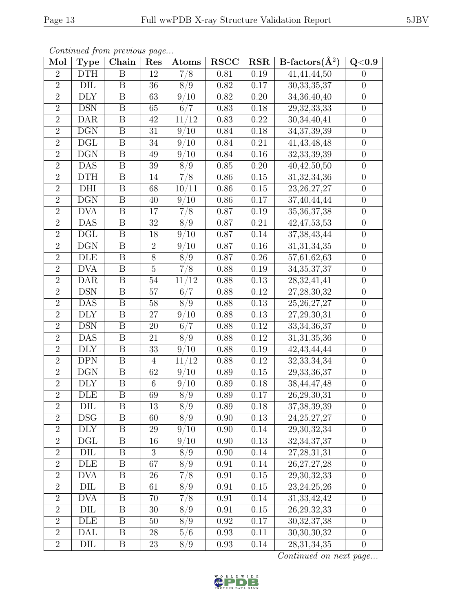| Continued from previous page |                         |                         |                  |                   |             |            |                           |                  |  |  |
|------------------------------|-------------------------|-------------------------|------------------|-------------------|-------------|------------|---------------------------|------------------|--|--|
| Mol                          | <b>Type</b>             | Chain                   | Res              | Atoms             | <b>RSCC</b> | <b>RSR</b> | $B\text{-factors}(\AA^2)$ | $Q<\!\!0.9$      |  |  |
| $\overline{2}$               | <b>DTH</b>              | B                       | 12               | 7/8               | 0.81        | 0.19       | 41,41,44,50               | $\overline{0}$   |  |  |
| $\overline{2}$               | DIL                     | $\boldsymbol{B}$        | $36\,$           | 8/9               | 0.82        | 0.17       | 30, 33, 35, 37            | $\overline{0}$   |  |  |
| $\overline{2}$               | <b>DLY</b>              | $\boldsymbol{B}$        | 63               | 9/10              | 0.82        | 0.20       | $\overline{34,36,}40,40$  | $\overline{0}$   |  |  |
| $\overline{2}$               | <b>DSN</b>              | $\boldsymbol{B}$        | 65               | 6/7               | 0.83        | 0.18       | 29,32,33,33               | $\boldsymbol{0}$ |  |  |
| $\overline{2}$               | <b>DAR</b>              | B                       | 42               | 11/12             | 0.83        | 0.22       | 30,34,40,41               | $\overline{0}$   |  |  |
| $\overline{2}$               | DGN                     | $\boldsymbol{B}$        | $31\,$           | 9/10              | 0.84        | 0.18       | 34, 37, 39, 39            | $\boldsymbol{0}$ |  |  |
| $\overline{2}$               | DGL                     | B                       | 34               | 9/10              | 0.84        | 0.21       | 41, 43, 48, 48            | $\boldsymbol{0}$ |  |  |
| $\overline{2}$               | $\overline{\text{DGN}}$ | $\overline{\mathrm{B}}$ | 49               | 9/10              | 0.84        | $0.16\,$   | 32,33,39,39               | $\overline{0}$   |  |  |
| $\overline{2}$               | DAS                     | B                       | 39               | 8/9               | 0.85        | 0.20       | 40,42,50,50               | $\boldsymbol{0}$ |  |  |
| $\overline{2}$               | DTH                     | $\overline{B}$          | 14               | $\overline{7/8}$  | $0.86\,$    | 0.15       | 31,32,34,36               | $\overline{0}$   |  |  |
| $\overline{2}$               | DHI                     | $\boldsymbol{B}$        | 68               | /11<br>10         | 0.86        | 0.15       | 23, 26, 27, 27            | $\boldsymbol{0}$ |  |  |
| $\overline{2}$               | $\overline{\text{DGN}}$ | $\overline{B}$          | $40\,$           | 9/10              | 0.86        | 0.17       | 37,40,44,44               | $\overline{0}$   |  |  |
| $\overline{2}$               | <b>DVA</b>              | $\overline{B}$          | 17               | $\overline{7/8}$  | 0.87        | 0.19       | 35, 36, 37, 38            | $\boldsymbol{0}$ |  |  |
| $\overline{2}$               | <b>DAS</b>              | $\, {\bf B}$            | $32\,$           | 8/9               | 0.87        | 0.21       | 42, 47, 53, 53            | $\overline{0}$   |  |  |
| $\overline{2}$               | DGL                     | B                       | 18               | $\overline{9}/10$ | 0.87        | 0.14       | 37, 38, 43, 44            | $\boldsymbol{0}$ |  |  |
| $\overline{2}$               | <b>DGN</b>              | $\boldsymbol{B}$        | $\overline{2}$   | 9/10              | 0.87        | 0.16       | 31, 31, 34, 35            | $\overline{0}$   |  |  |
| $\overline{2}$               | <b>DLE</b>              | B                       | $8\,$            | 8/9               | 0.87        | 0.26       | 57,61,62,63               | $\overline{0}$   |  |  |
| $\overline{2}$               | <b>DVA</b>              | $\boldsymbol{B}$        | $\overline{5}$   | 7/8               | 0.88        | 0.19       | 34, 35, 37, 37            | $\overline{0}$   |  |  |
| $\overline{2}$               | <b>DAR</b>              | $\boldsymbol{B}$        | 54               | 11/12             | 0.88        | 0.13       | 28, 32, 41, 41            | $\boldsymbol{0}$ |  |  |
| $\overline{2}$               | <b>DSN</b>              | $\boldsymbol{B}$        | $57\,$           | 6/7               | 0.88        | 0.12       | 27, 28, 30, 32            | $\overline{0}$   |  |  |
| $\overline{2}$               | DAS                     | $\boldsymbol{B}$        | $58\,$           | 8/9               | 0.88        | 0.13       | 25, 26, 27, 27            | $\overline{0}$   |  |  |
| $\overline{2}$               | <b>DLY</b>              | $\boldsymbol{B}$        | 27               | 9/10              | 0.88        | 0.13       | 27,29,30,31               | $\overline{0}$   |  |  |
| $\overline{2}$               | <b>DSN</b>              | $\boldsymbol{B}$        | 20               | 6/7               | 0.88        | 0.12       | 33,34,36,37               | $\overline{0}$   |  |  |
| $\overline{2}$               | DAS                     | B                       | 21               | 8/9               | 0.88        | 0.12       | 31, 31, 35, 36            | $\overline{0}$   |  |  |
| $\overline{2}$               | <b>DLY</b>              | $\boldsymbol{B}$        | 33               | 9/10              | 0.88        | 0.19       | 42, 43, 44, 44            | $\boldsymbol{0}$ |  |  |
| $\overline{2}$               | <b>DPN</b>              | $\mathbf{B}$            | $\overline{4}$   | 11/12             | 0.88        | 0.12       | 32, 33, 34, 34            | $\theta$         |  |  |
| $\overline{2}$               | $\overline{\text{DGN}}$ | $\overline{\mathrm{B}}$ | 62               | 9/10              | 0.89        | $0.15\,$   | 29, 33, 36, 37            | $\overline{0}$   |  |  |
| $\overline{2}$               | <b>DLY</b>              | B                       | $\,6\,$          | $\overline{9}/10$ | 0.89        | 0.18       | 38,44,47,48               | $\boldsymbol{0}$ |  |  |
| $\overline{2}$               | DLE                     | $\overline{B}$          | $69\,$           | $\overline{8/9}$  | $0.89\,$    | $0.17\,$   | 26,29,30,31               | $\boldsymbol{0}$ |  |  |
| $\overline{2}$               | DIL                     | B                       | 13               | 8/9               | 0.89        | 0.18       | 37, 38, 39, 39            | $\overline{0}$   |  |  |
| $\overline{2}$               | <b>DSG</b>              | $\, {\bf B}$            | 60               | 8/9               | 0.90        | 0.13       | $24,25,27,\overline{27}$  | $\overline{0}$   |  |  |
| $\overline{2}$               | DLY                     | B                       | 29               | 9/10              | 0.90        | 0.14       | 29,30,32,34               | $\boldsymbol{0}$ |  |  |
| $\overline{2}$               | DGL                     | B                       | 16               | 9/10              | 0.90        | $0.13\,$   | 32, 34, 37, 37            | $\theta$         |  |  |
| $\sqrt{2}$                   | DIL                     | B                       | $\boldsymbol{3}$ | 8/9               | 0.90        | 0.14       | 27, 28, 31, 31            | $\boldsymbol{0}$ |  |  |
| $\overline{2}$               | DLE                     | $\overline{B}$          | 67               | 8/9               | 0.91        | 0.14       | 26, 27, 27, 28            | $\overline{0}$   |  |  |
| $\overline{2}$               | <b>DVA</b>              | B                       | 26               | 7/8               | 0.91        | 0.15       | 29, 30, 32, 33            | $\boldsymbol{0}$ |  |  |
| $\overline{2}$               | DIL                     | B                       | 61               | 8/9               | $0.91\,$    | 0.15       | 23, 24, 25, 26            | $\theta$         |  |  |
| $\sqrt{2}$                   | <b>DVA</b>              | B                       | 70               | 7/8               | 0.91        | 0.14       | 31, 33, 42, 42            | $\boldsymbol{0}$ |  |  |
| $\overline{2}$               | DIL                     | $\boldsymbol{B}$        | $30\,$           | 8/9               | 0.91        | 0.15       | 26, 29, 32, 33            | $\theta$         |  |  |
| $\overline{2}$               | DLE                     | B                       | 50               | 8/9               | 0.92        | 0.17       | 30, 32, 37, 38            | $\boldsymbol{0}$ |  |  |
| $\overline{2}$               | DAL                     | B                       | 28               | 5/6               | 0.93        | 0.11       | 30,30,30,32               | $\theta$         |  |  |
| $\overline{2}$               | DIL                     | B                       | 23               | 8/9               | 0.93        | 0.14       | $\overline{28,31,34,35}$  | $\boldsymbol{0}$ |  |  |

Continued from previous page...

Continued on next page...